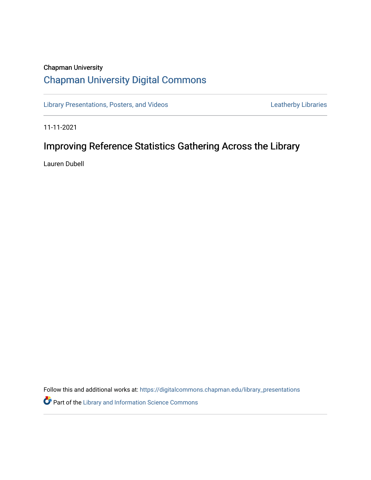## Chapman University [Chapman University Digital Commons](https://digitalcommons.chapman.edu/)

[Library Presentations, Posters, and Videos](https://digitalcommons.chapman.edu/library_presentations) **Leatherby Libraries** Leatherby Libraries

11-11-2021

# Improving Reference Statistics Gathering Across the Library

Lauren Dubell

Follow this and additional works at: [https://digitalcommons.chapman.edu/library\\_presentations](https://digitalcommons.chapman.edu/library_presentations?utm_source=digitalcommons.chapman.edu%2Flibrary_presentations%2F35&utm_medium=PDF&utm_campaign=PDFCoverPages)

**P** Part of the Library and Information Science Commons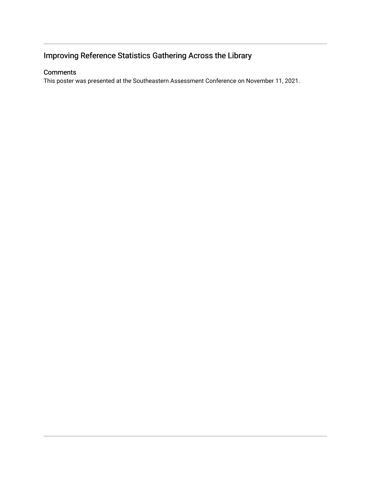## Improving Reference Statistics Gathering Across the Library

### **Comments**

This poster was presented at the Southeastern Assessment Conference on November 11, 2021.